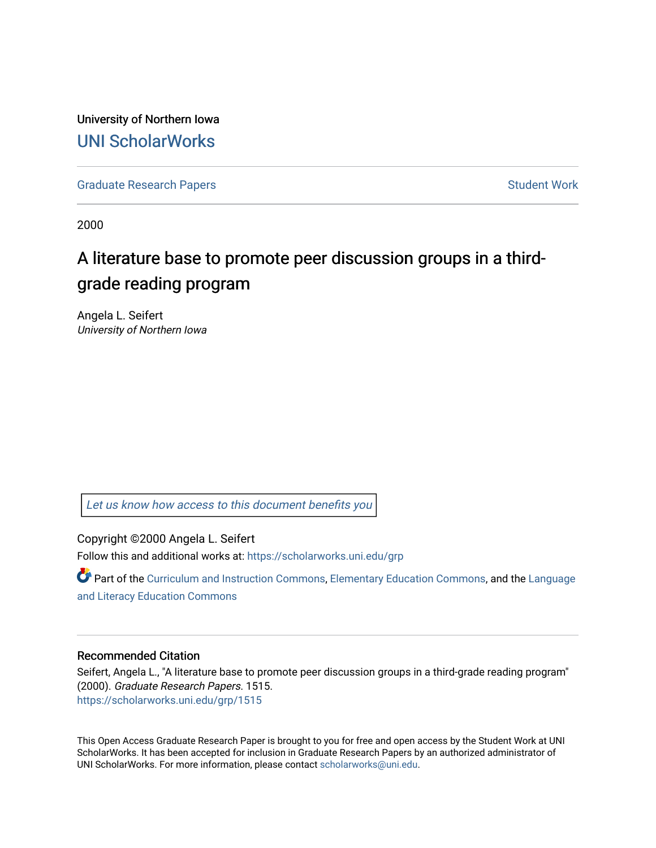University of Northern Iowa [UNI ScholarWorks](https://scholarworks.uni.edu/) 

[Graduate Research Papers](https://scholarworks.uni.edu/grp) **Student Work** Student Work

2000

## A literature base to promote peer discussion groups in a thirdgrade reading program

Angela L. Seifert University of Northern Iowa

[Let us know how access to this document benefits you](https://scholarworks.uni.edu/feedback_form.html) 

Copyright ©2000 Angela L. Seifert

Follow this and additional works at: [https://scholarworks.uni.edu/grp](https://scholarworks.uni.edu/grp?utm_source=scholarworks.uni.edu%2Fgrp%2F1515&utm_medium=PDF&utm_campaign=PDFCoverPages) 

Part of the [Curriculum and Instruction Commons,](http://network.bepress.com/hgg/discipline/786?utm_source=scholarworks.uni.edu%2Fgrp%2F1515&utm_medium=PDF&utm_campaign=PDFCoverPages) [Elementary Education Commons](http://network.bepress.com/hgg/discipline/1378?utm_source=scholarworks.uni.edu%2Fgrp%2F1515&utm_medium=PDF&utm_campaign=PDFCoverPages), and the [Language](http://network.bepress.com/hgg/discipline/1380?utm_source=scholarworks.uni.edu%2Fgrp%2F1515&utm_medium=PDF&utm_campaign=PDFCoverPages) [and Literacy Education Commons](http://network.bepress.com/hgg/discipline/1380?utm_source=scholarworks.uni.edu%2Fgrp%2F1515&utm_medium=PDF&utm_campaign=PDFCoverPages)

#### Recommended Citation

Seifert, Angela L., "A literature base to promote peer discussion groups in a third-grade reading program" (2000). Graduate Research Papers. 1515. [https://scholarworks.uni.edu/grp/1515](https://scholarworks.uni.edu/grp/1515?utm_source=scholarworks.uni.edu%2Fgrp%2F1515&utm_medium=PDF&utm_campaign=PDFCoverPages) 

This Open Access Graduate Research Paper is brought to you for free and open access by the Student Work at UNI ScholarWorks. It has been accepted for inclusion in Graduate Research Papers by an authorized administrator of UNI ScholarWorks. For more information, please contact [scholarworks@uni.edu.](mailto:scholarworks@uni.edu)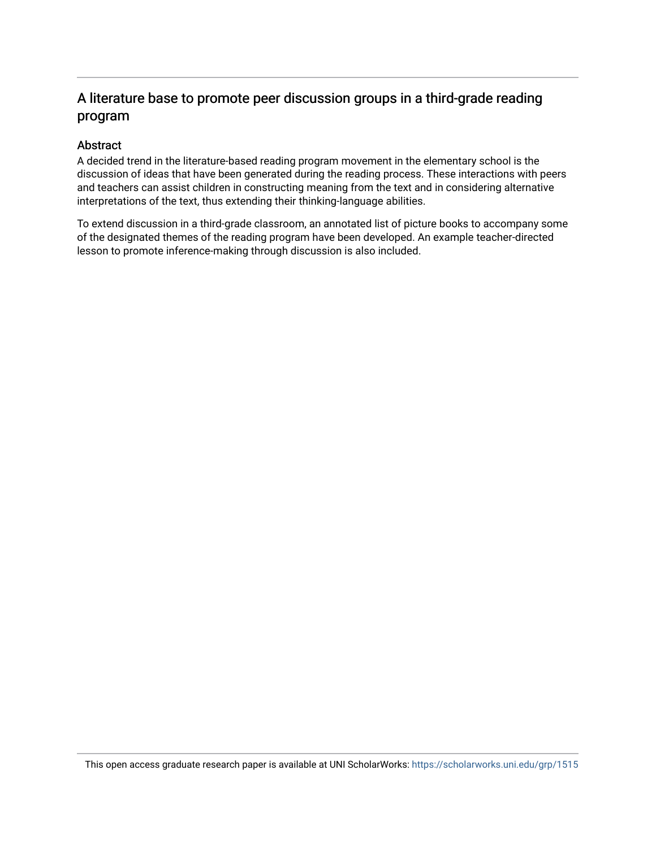### A literature base to promote peer discussion groups in a third-grade reading program

#### Abstract

A decided trend in the literature-based reading program movement in the elementary school is the discussion of ideas that have been generated during the reading process. These interactions with peers and teachers can assist children in constructing meaning from the text and in considering alternative interpretations of the text, thus extending their thinking-language abilities.

To extend discussion in a third-grade classroom, an annotated list of picture books to accompany some of the designated themes of the reading program have been developed. An example teacher-directed lesson to promote inference-making through discussion is also included.

This open access graduate research paper is available at UNI ScholarWorks: <https://scholarworks.uni.edu/grp/1515>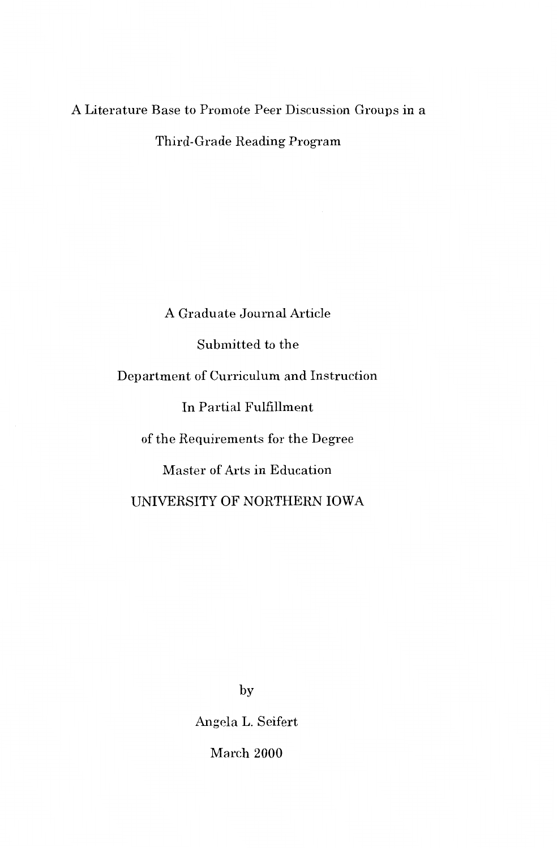## A Literature Base to Promote Peer Discussion Groups in a Third-Grade Reading Program

A Graduate Journal Article Submitted to the Department of Curriculum and Instruction In Partial Fulfillment of the Requirements for the Degree Master of Arts in Education UNIVERSITY OF NORTHERN IOWA

by

Angela L. Seifert

March 2000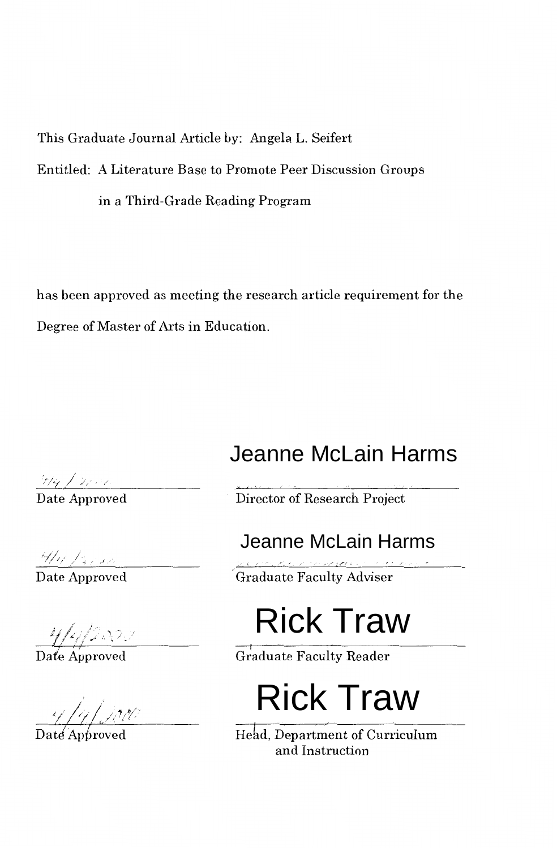This Graduate Journal Article by: Angela L. Seifert Entitled: A Literature Base to Promote Peer Discussion Groups in a Third-Grade Reading Program

has been approved as meeting the research article requirement for the Degree of Master of Arts in Education.

## Jeanne McLain Harms

 $\frac{\sqrt{77}}{2}$ Date Approved

 $\frac{\partial f(x, y)}{\partial x}$  and  $\frac{\partial f(x, y)}{\partial y}$ 

 $\frac{4}{2}$  and  $\frac{4}{2}$  and  $\frac{4}{2}$  and  $\frac{4}{2}$  and  $\frac{4}{2}$  and  $\frac{4}{2}$  and  $\frac{4}{2}$  and  $\frac{4}{2}$  and  $\frac{4}{2}$  and  $\frac{4}{2}$  and  $\frac{4}{2}$  and  $\frac{4}{2}$  and  $\frac{4}{2}$  and  $\frac{4}{2}$  and  $\frac{4}{2}$  and  $\frac{4}{2}$  a

 $\frac{1}{\text{Date}\,\text{Approved}}$ 

Director of Research Project

Jeanne McLain Harms

Graduate Faculty Adviser

# Rick Traw

Graduate Faculty Reader

## Rick Traw

Head, Department of Curriculum and Instruction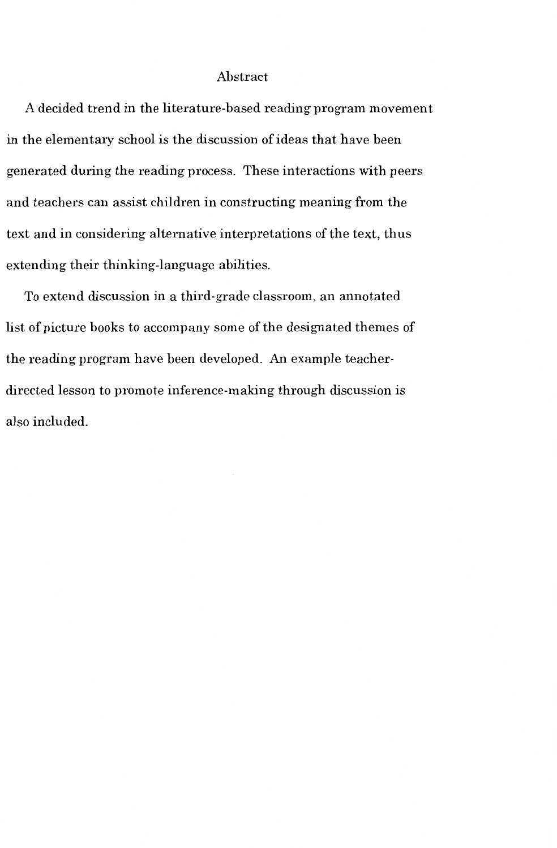#### Abstract

A decided trend in the literature-based reading program movement in the elementary school is the discussion of ideas that have been generated during the reading process. These interactions with peers and teachers can assist children in constructing meaning from the text and in considering alternative interpretations of the text, thus extending their thinking-language abilities.

To extend discussion in a third-grade classroom, an annotated list of picture books to accompany some of the designated themes of the reading program have been developed. An example teacherdirected lesson to promote inference-making through discussion is also included.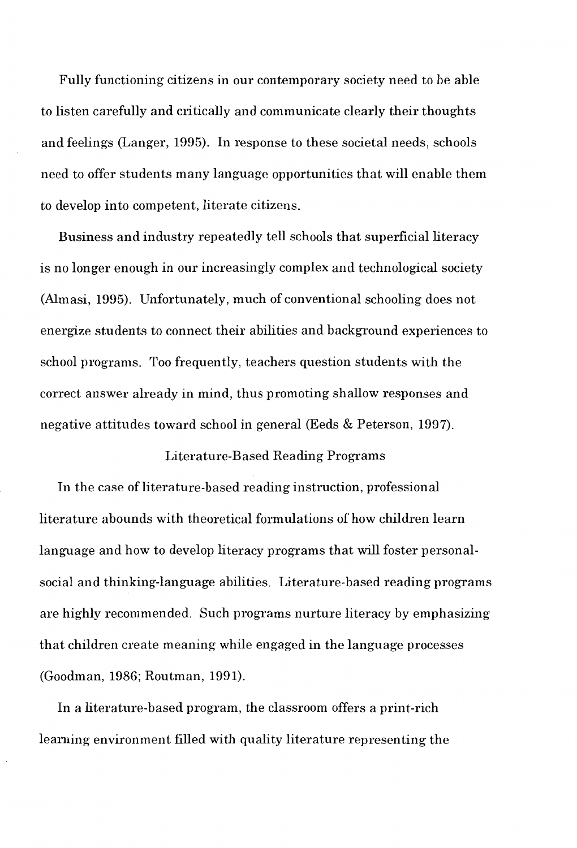Fully functioning citizens in our contemporary society need to be able to listen carefully and critically and communicate clearly their thoughts and feelings (Langer, 1995). In response to these societal needs, schools need to offer students many language opportunities that will enable them to develop into competent, literate citizens.

Business and industry repeatedly tell schools that superficial literacy is no longer enough in our increasingly complex and technological society (Almasi, 1995). Unfortunately, much of conventional schooling does not energize students to connect their abilities and background experiences to school programs. Too frequently, teachers question students with the correct answer already in mind, thus promoting shallow responses and negative attitudes toward school in general (Eeds & Peterson, 1997).

#### Literature-Based Reading Programs

In the case of literature-based reading instruction, professional literature abounds with theoretical formulations of how children learn language and how to develop literacy programs that will foster personalsocial and thinking-language abilities. Literature-based reading programs are highly recommended. Such programs nurture literacy by emphasizing that children create meaning while engaged in the language processes (Goodman, 1986; Routman, 1991).

In a literature-based program, the classroom offers a print-rich learning environment filled with quality literature representing the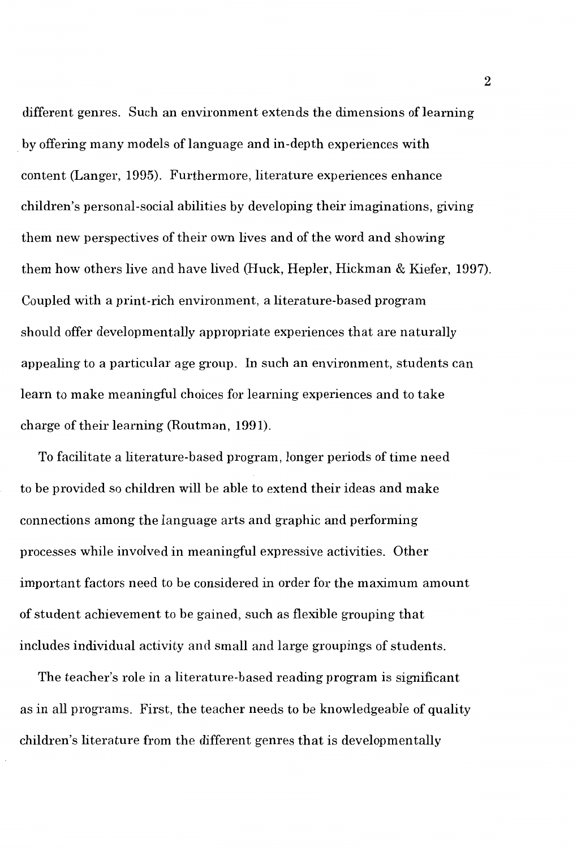different genres. Such an environment extends the dimensions of learning by offering many models of language and in-depth experiences with content (Langer, 1995). Furthermore, literature experiences enhance children's personal-social abilities by developing their imaginations, giving them new perspectives of their own lives and of the word and showing them how others live and have lived (Huck, Hepler, Hickman & Kiefer, 1997). Coupled with a print-rich environment, a literature-based program should offer developmentally appropriate experiences that are naturally appealing to a particular age group. In such an environment, students can learn to make meaningful choices for learning experiences and to take charge of their learning (Routman, 1991).

To facilitate a literature-based program, longer periods of time need to be provided so children will be able to extend their ideas and make connections among the language arts and graphic and performing processes while involved in meaningful expressive activities. Other important factors need to be considered in order for the maximum amount of student achievement to be gained, such as flexible grouping that includes individual activity and small and large groupings of students.

The teacher's role in a literature-based reading program is significant as in all programs. First, the teacher needs to be knowledgeable of quality children's literature from the different genres that is developmentally

2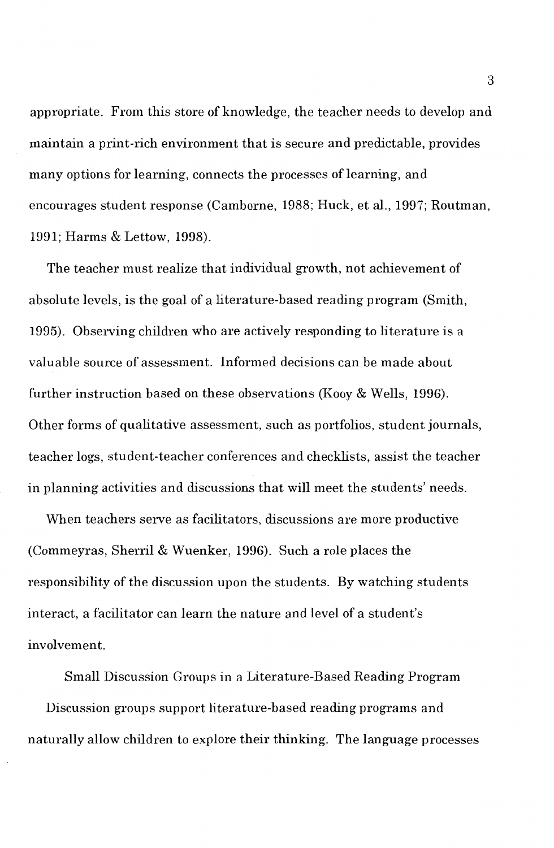appropriate. From this store of knowledge, the teacher needs to develop and maintain a print-rich environment that is secure and predictable, provides many options for learning, connects the processes of learning, and encourages student response (Camborne, 1988; Huck, et al., 1997; Routman, 1991; Harms & Lettow, 1998).

The teacher must realize that individual growth, not achievement of absolute levels, is the goal of a literature-based reading program (Smith, 1995). Observing children who are actively responding to literature is a valuable source of assessment. Informed decisions can be made about further instruction based on these observations (Kooy & Wells, 1996). Other forms of qualitative assessment, such as portfolios, student journals, teacher logs, student-teacher conferences and checklists, assist the teacher in planning activities and discussions that will meet the students' needs.

When teachers serve as facilitators, discussions are more productive (Commeyras, Sherril & Wuenker, 1996). Such a role places the responsibility of the discussion upon the students. By watching students interact, a facilitator can learn the nature and level of a student's involvement.

Small Discussion Groups in a Literature-Based Reading Program Discussion groups support literature-based reading programs and naturally allow children to explore their thinking. The language processes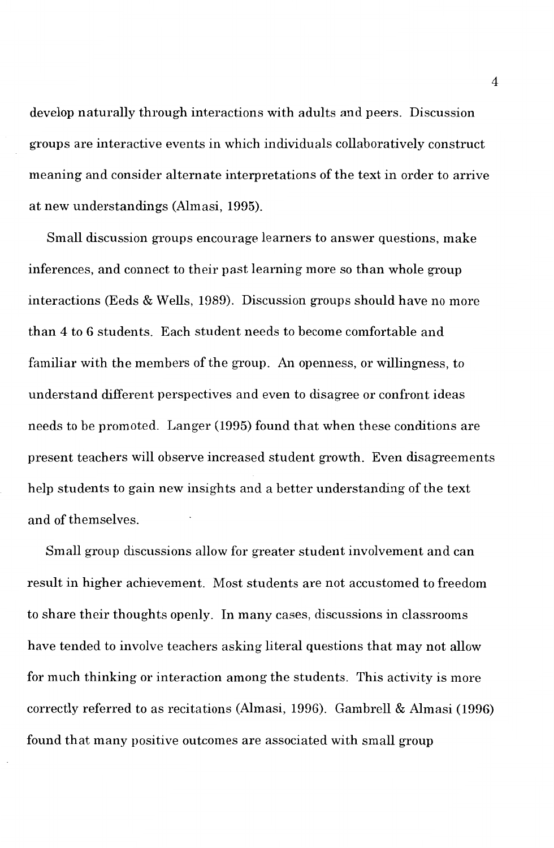develop naturally through interactions with adults and peers. Discussion groups are interactive events in which individuals collaboratively construct meaning and consider alternate interpretations of the text in order to arrive at new understandings (Almasi, 1995).

Small discussion groups encourage learners to answer questions, make inferences, and connect to their past learning more so than whole group interactions (Eeds & Wells, 1989). Discussion groups should have no more than 4 to 6 students. Each student needs to become comfortable and familiar with the members of the group. An openness, or willingness, to understand different perspectives and even to disagree or confront ideas needs to be promoted. Langer (1995) found that when these conditions are present teachers will observe increased student growth. Even disagreements help students to gain new insights and a better understanding of the text and of themselves.

Small group discussions allow for greater student involvement and can result in higher achievement. Most students are not accustomed to freedom to share their thoughts openly. In many cases, discussions in classrooms have tended to involve teachers asking literal questions that may not allow for much thinking or interaction among the students. This activity is more correctly referred to as recitations (Almasi, 1996). Gambrell & Almasi (1996) found that many positive outcomes are associated with small group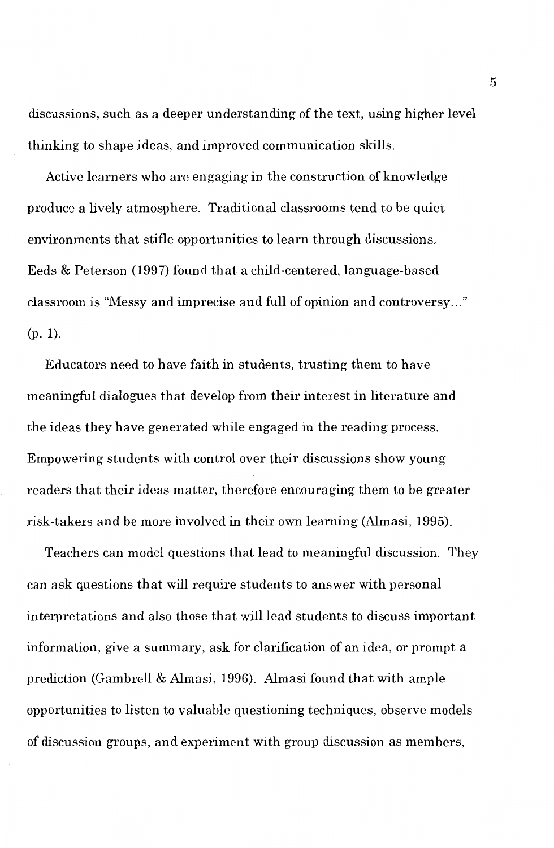discussions, such as a deeper understanding of the text, using higher level thinking to shape ideas, and improved communication skills.

Active learners who are engaging in the construction of knowledge produce a lively atmosphere. Traditional classrooms tend to be quiet environments that stifle opportunities to learn through discussions. Eeds & Peterson (1997) found that a child-centered, language-based classroom is "Messy and imprecise and full of opinion and controversy ... " (p. 1).

Educators need to have faith in students, trusting them to have meaningful dialogues that develop from their interest in literature and the ideas they have generated while engaged in the reading process. Empowering students with control over their discussions show young readers that their ideas matter, therefore encouraging them to be greater risk-takers and be more involved in their own learning (Almasi, 1995).

Teachers can model questions that lead to meaningful discussion. They can ask questions that will require students to answer with personal interpretations and also those that will lead students to discuss important information, give a summary, ask for clarification of an idea, or prompt a prediction (Gambrell & Almasi, 1996). Almasi found that with ample opportunities to listen to valuable questioning techniques, observe models of discussion groups, and experiment with group discussion as members,

5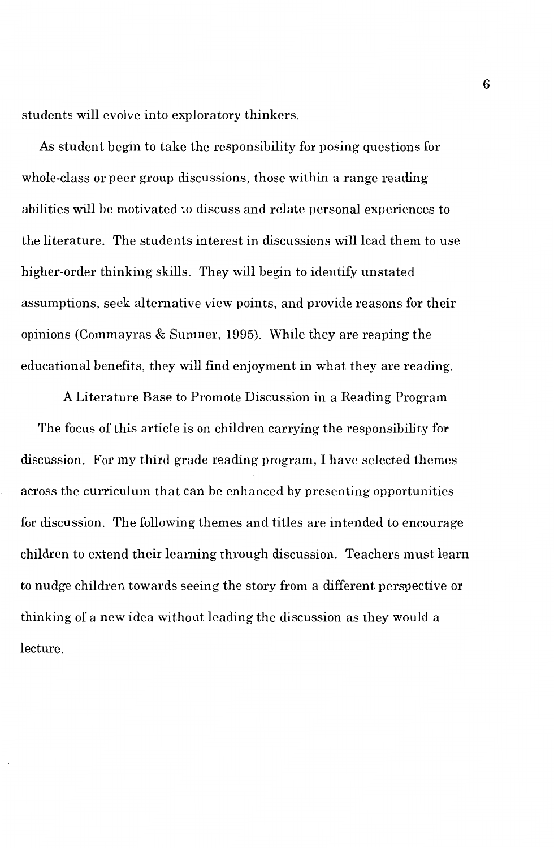students will evolve into exploratory thinkers.

As student begin to take the responsibility for posing questions for whole-class or peer group discussions, those within a range reading abilities will be motivated to discuss and relate personal experiences to the literature. The students interest in discussions will lead them to use higher-order thinking skills. They will begin to identify unstated assumptions, seek alternative view points, and provide reasons for their opinions (Commayras & Sumner, 1995). While they are reaping the educational benefits, they will find enjoyment in what they are reading.

A Literature Base to Promote Discussion in a Reading Program The focus of this article is on children carrying the responsibility for discussion. For my third grade reading program, I have selected themes across the curriculum that can be enhanced by presenting opportunities for discussion. The following themes and titles are intended to encourage children to extend their learning through discussion. Teachers must learn to nudge children towards seeing the story from a different perspective or thinking of a new idea without leading the discussion as they would a lecture.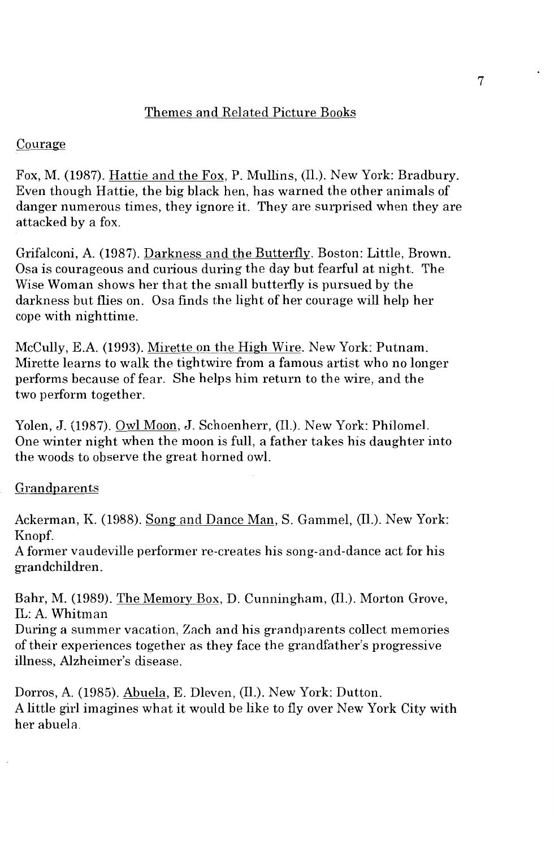#### Themes and Related Picture Books

#### Courage

Fox, M. (1987). Hattie and the Fox, P. Mullins, (Il.). New York: Bradbury. Even though Hattie, the big black hen, has warned the other animals of danger numerous times, they ignore it. They are surprised when they are attacked by a fox.

Grifalconi, A. (1987). Darkness and the Butterfly. Boston: Little, Brown. Osa is courageous and curious during the day but fearful at night. The Wise Woman shows her that the small butterfly is pursued by the darkness but flies on. Osa finds the light of her courage will help her cope with nighttime.

McCully, E.A. (1993). Mirette on the High Wire. New York: Putnam. Mirette learns to walk the tightwire from a famous artist who no longer performs because of fear. She helps him return to the wire, and the two perform together.

Yolen, J. (1987). Owl Moon, J. Schoenherr, (Il.). New York: Philomel. One winter night when the moon is full, a father takes his daughter into the woods to observe the great horned owl.

Grandparents

Ackerman, K. (1988). Song and Dance Man, S. Gammel, (IL). New York: Knopf.

A former vaudeville performer re-creates his song-and-dance act for his grandchildren.

Bahr, M. (1989). The Memory Box, D. Cunningham, (II.). Morton Grove, IL: A. Whitman

During a summer vacation, Zach and his grandparents collect memories of their experiences together as they face the grandfather's progressive illness, Alzheimer's disease.

Dorros, A. (1985). Abuela, E. Dleven, (IL). New York: Dutton. A little girl imagines what it would be like to fly over New York City with her abuela.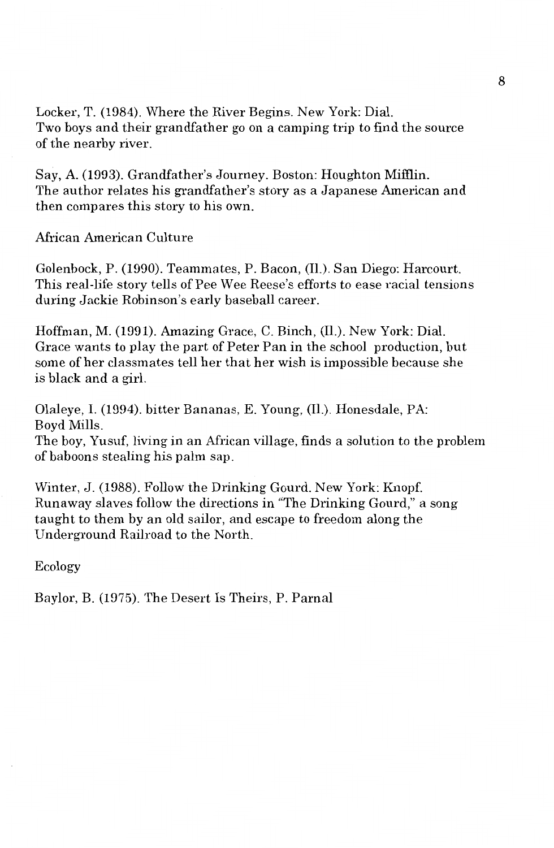Locker, T. (1984). Where the River Begins. New York: Dial. Two boys and their grandfather go on a camping trip to find the source of the nearby river.

Say, A. (1993). Grandfather's Journey. Boston: Houghton Mifilin. The author relates his grandfather's story as a Japanese American and then compares this story to his own.

African American Culture

Golenbock, P. (1990). Teammates, P. Bacon, (II.). San Diego: Harcourt. This real-life story tells of Pee Wee Reese's efforts to ease racial tensions during Jackie Robinson's early baseball career.

Hoffman, M. (1991). Amazing Grace, C. Binch, (IL). New York: Dial. Grace wants to play the part of Peter Pan in the school production, but some of her classmates tell her that her wish is impossible because she is black and a girl.

Olaleye, I. (1994). bitter Bananas, E. Young, (II.). Honesdale, PA: Boyd Mills.

The boy, Yusuf, living in an African village, finds a solution to the problem of baboons stealing his palm sap.

Winter, J. (1988). Follow the Drinking Gourd. New York: Knopf. Runaway slaves follow the directions in "The Drinking Gourd," a song taught to them by an old sailor, and escape to freedom along the Underground Railroad to the North.

Ecology

Baylor, B. (1975). The Desert Is Theirs, P. Parnal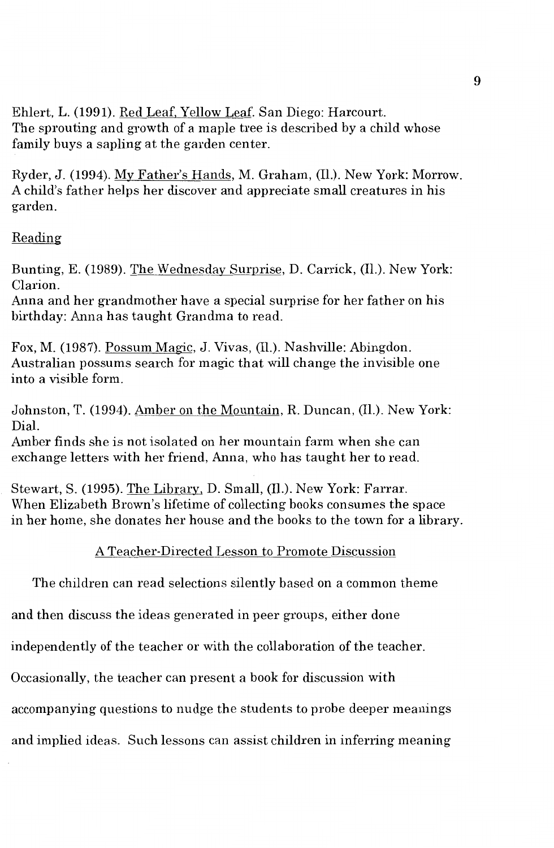Ehlert, L. (1991). Red Leaf, Yellow Leaf. San Diego: Harcourt. The sprouting and growth of a maple tree is described by a child whose family buys a sapling at the garden center.

Ryder, J. (1994). My Father's Hands, M. Graham, (II.). New York: Morrow. A child's father helps her discover and appreciate small creatures in his garden.

#### Reading

Bunting, E. (1989). The Wednesday Surprise, D. Carrick, (IL). New York: Clarion.

Anna and her grandmother have a special surprise for her father on his birthday: Anna has taught Grandma to read.

Fox, M. (1987). Possum Magic, J. Vivas, (IL). Nashville: Abingdon. Australian possums search for magic that will change the invisible one into a visible form.

Johnston, T. (1994). Amber on the Mountain, R. Duncan, (II.). New York: Dial.

Amber finds she is not isolated on her mountain farm when she can exchange letters with her friend, Anna, who has taught her to read.

Stewart, S. (1995). The Library, D. Small, (IL). New York: Farrar. When Elizabeth Brown's lifetime of collecting books consumes the space in her home, she donates her house and the books to the town for a library.

#### A Teacher-Directed Lesson to Promote Discussion

The children can read selections silently based on a common theme

and then discuss the ideas generated in peer groups, either done

independently of the teacher or with the collaboration of the teacher.

Occasionally, the teacher can present a book for discussion with

accompanying questions to nudge the students to probe deeper meanings

and implied ideas. Such lessons can assist children in inferring meaning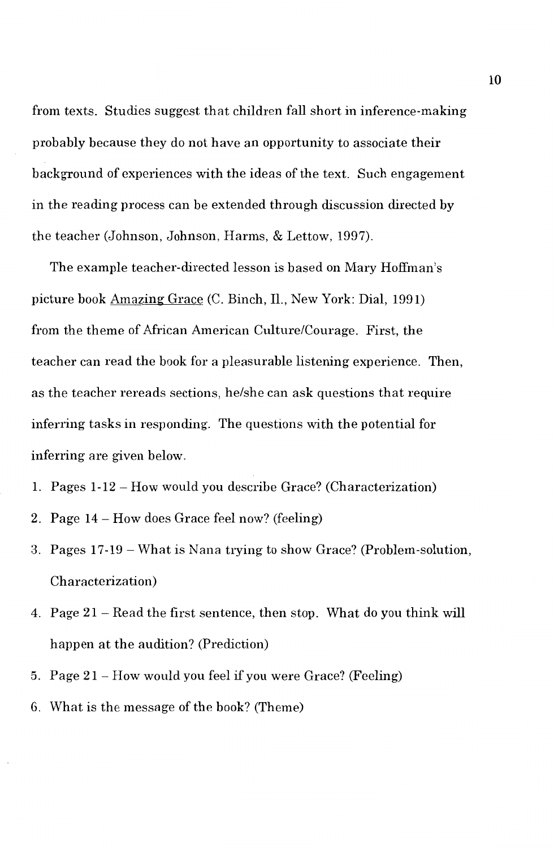from texts. Studies suggest that children fall short in inference-making probably because they do not have an opportunity to associate their background of experiences with the ideas of the text. Such engagement in the reading process can be extended through discussion directed by the teacher (Johnson, Johnson, Harms, & Lettow, 1997).

The example teacher-directed lesson is based on Mary Hoffman's picture book Amazing Grace (C. Binch, IL, New York: Dial, 1991) from the theme of African American Culture/Courage. First, the teacher can read the book for a pleasurable listening experience. Then, as the teacher rereads sections, he/she can ask questions that require inferring tasks in responding. The questions with the potential for inferring are given below.

- 1. Pages 1-12 How would you describe Grace? (Characterization)
- 2. Page 14 How does Grace feel now? (feeling)
- 3. Pages 17-19 What is Nana trying to show Grace? (Problem-solution, Characterization)
- 4. Page 21 Read the first sentence, then stop. What do you think will happen at the audition? (Prediction)
- 5. Page 21 How would you feel if you were Grace? (Feeling)
- 6. What is the message of the book? (Theme)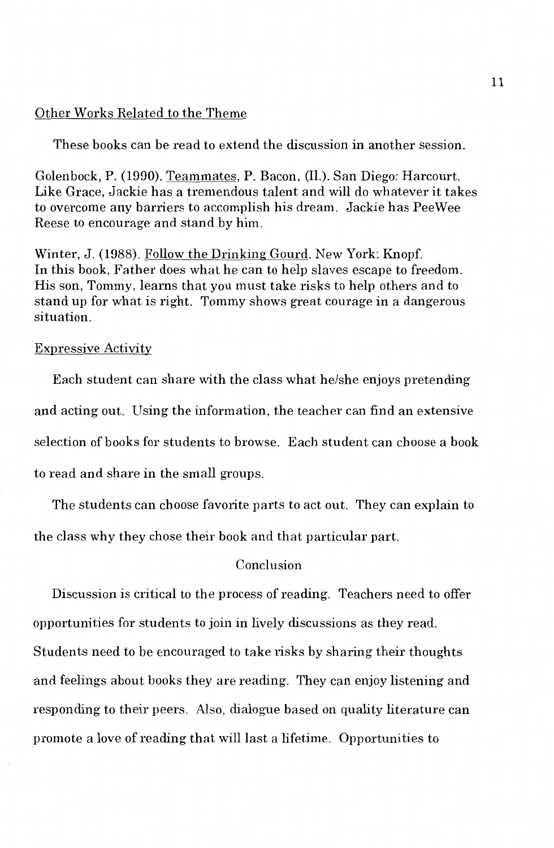#### Other Works Related to the Theme

These books can be read to extend the discussion in another session.

Golenbock, P. (1990). Teammates, P. Bacon, (IL). San Diego: Harcourt. Like Grace, Jackie has a tremendous talent and will do whatever it takes to overcome any barriers to accomplish his dream. Jackie has PeeWee Reese to encourage and stand by him.

Winter, J. (1988). Follow the Drinking Gourd. New York: Knopf. In this book, Father does what he can to help slaves escape to freedom. His son, Tommy, learns that you must take risks to help others and to stand up for what is right. Tommy shows great courage in a dangerous situation.

#### Expressive Activity

Each student can share with the class what he/she enjoys pretending and acting out. Using the information, the teacher can find an extensive selection of books for students to browse. Each student can choose a book to read and share in the small groups.

The students can choose favorite parts to act out. They can explain to the class why they chose their book and that particular part.

#### Conclusion

Discussion is critical to the process of reading. Teachers need to offer opportunities for students to join in lively discussions as they read. Students need to be encouraged to take risks by sharing their thoughts and feelings about books they are reading. They can enjoy listening and responding to their peers. Also, dialogue based on quality literature can promote a love of reading that will last a lifetime. Opportunities to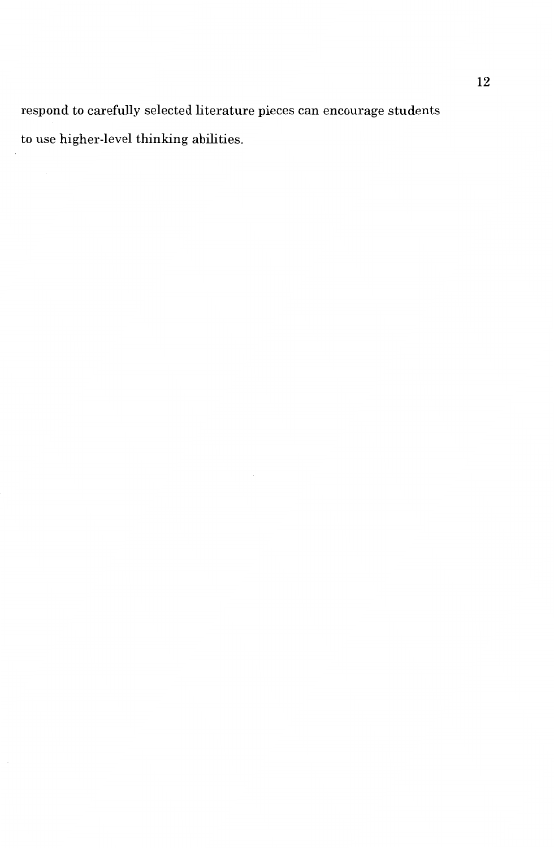respond to carefully selected literature pieces can encourage students to use higher-level thinking abilities.

 $\hat{\mathcal{A}}$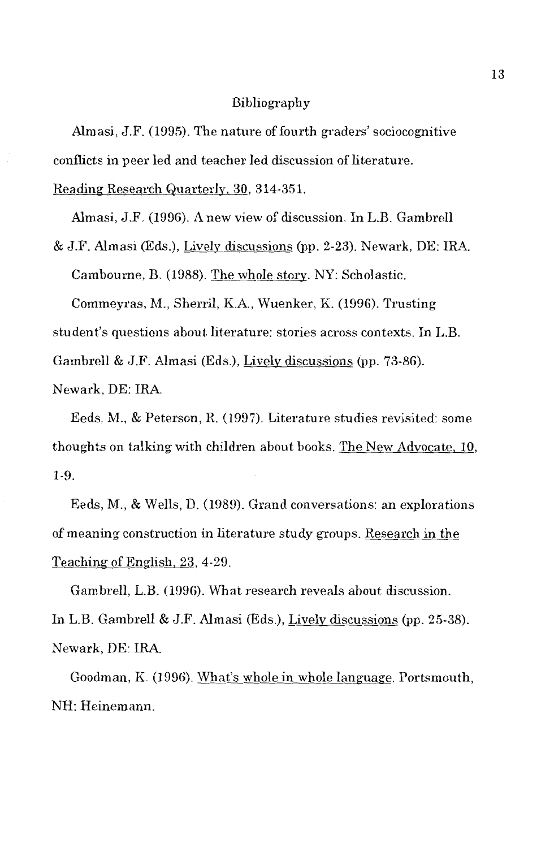#### Bibliography

Almasi, J.F. (1995). The nature of fourth graders' sociocognitive conflicts in peer led and teacher led discussion of literature.

Reading Research Quarterly, 30, 314-351.

Almasi, J.F. (1996). A new view of discussion. In L.B. Gambrell

& J.F. Almasi (Eds.), Lively discussions (pp. 2-23). Newark, DE: IRA.

Cambourne, B. (1988). The whole story. NY: Scholastic.

Commeyras, M., Sherril, K.A., Wuenker, K. (1996). Trusting

student's questions about literature: stories across contexts. In L.B.

Gambrell & J.F. Almasi (Eds.), Lively discussions (pp. 73-86).

Newark, DE: IRA.

Eeds, M., & Peterson, R. (1997). Literature studies revisited: some thoughts on talking with children about books. The New Advocate, 10, 1-9.

Eeds, M., & Wells, D. (1989). Grand conversations: an explorations of meaning construction in literature study groups. Research in the Teaching of English, 23, 4-29.

Gambrell, L.B. (1996). What research reveals about discussion. In L.B. Gambrell & J.F. Almasi (Eds.), Lively discussions (pp. 25-38). Newark, DE: IRA.

Goodman, K. (1996). What's whole in whole language. Portsmouth, NH: Heinemann.